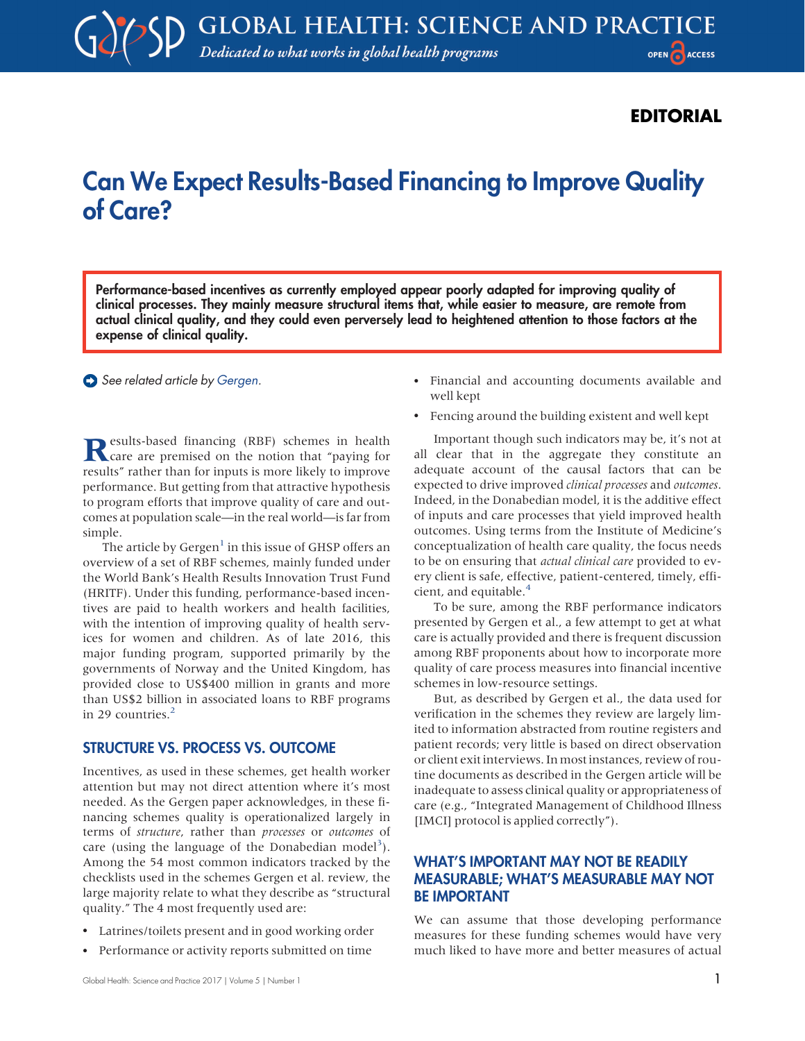## EDITORIAL

# Can We Expect Results-Based Financing to Improve Quality of Care?

Performance-based incentives as currently employed appear poorly adapted for improving quality of clinical processes. They mainly measure structural items that, while easier to measure, are remote from actual clinical quality, and they could even perversely lead to heightened attention to those factors at the expense of clinical quality.

See related article by [Gergen](http://dx.doi.org/10.9745/GHSP-D-16-00239).

Results-based financing (RBF) schemes in health care are premised on the notion that "paying for results" rather than for inputs is more likely to improve performance. But getting from that attractive hypothesis to program efforts that improve quality of care and outcomes at population scale—in the real world—is far from simple.

The article by  $Gergen<sup>1</sup>$  $Gergen<sup>1</sup>$  $Gergen<sup>1</sup>$  in this issue of GHSP offers an overview of a set of RBF schemes, mainly funded under the World Bank's Health Results Innovation Trust Fund (HRITF). Under this funding, performance-based incentives are paid to health workers and health facilities, with the intention of improving quality of health services for women and children. As of late 2016, this major funding program, supported primarily by the governments of Norway and the United Kingdom, has provided close to US\$400 million in grants and more than US\$2 billion in associated loans to RBF programs in 29 countries.<sup>2</sup>

#### STRUCTURE VS. PROCESS VS. OUTCOME

Incentives, as used in these schemes, get health worker attention but may not direct attention where it's most needed. As the Gergen paper acknowledges, in these financing schemes quality is operationalized largely in terms of structure, rather than processes or outcomes of care (using the language of the Donabedian model<sup>[3](#page-2-2)</sup>). Among the 54 most common indicators tracked by the checklists used in the schemes Gergen et al. review, the large majority relate to what they describe as "structural quality." The 4 most frequently used are:

- Latrines/toilets present and in good working order
- Performance or activity reports submitted on time
- Financial and accounting documents available and well kept
- Fencing around the building existent and well kept

Important though such indicators may be, it's not at all clear that in the aggregate they constitute an adequate account of the causal factors that can be expected to drive improved clinical processes and outcomes. Indeed, in the Donabedian model, it is the additive effect of inputs and care processes that yield improved health outcomes. Using terms from the Institute of Medicine's conceptualization of health care quality, the focus needs to be on ensuring that *actual clinical care* provided to every client is safe, effective, patient-centered, timely, effi-cient, and equitable.<sup>[4](#page-2-3)</sup>

To be sure, among the RBF performance indicators presented by Gergen et al., a few attempt to get at what care is actually provided and there is frequent discussion among RBF proponents about how to incorporate more quality of care process measures into financial incentive schemes in low-resource settings.

But, as described by Gergen et al., the data used for verification in the schemes they review are largely limited to information abstracted from routine registers and patient records; very little is based on direct observation or client exit interviews. In most instances, review of routine documents as described in the Gergen article will be inadequate to assess clinical quality or appropriateness of care (e.g., "Integrated Management of Childhood Illness [IMCI] protocol is applied correctly").

### WHAT'S IMPORTANT MAY NOT BE READILY MEASURABLE; WHAT'S MEASURABLE MAY NOT BE IMPORTANT

We can assume that those developing performance measures for these funding schemes would have very much liked to have more and better measures of actual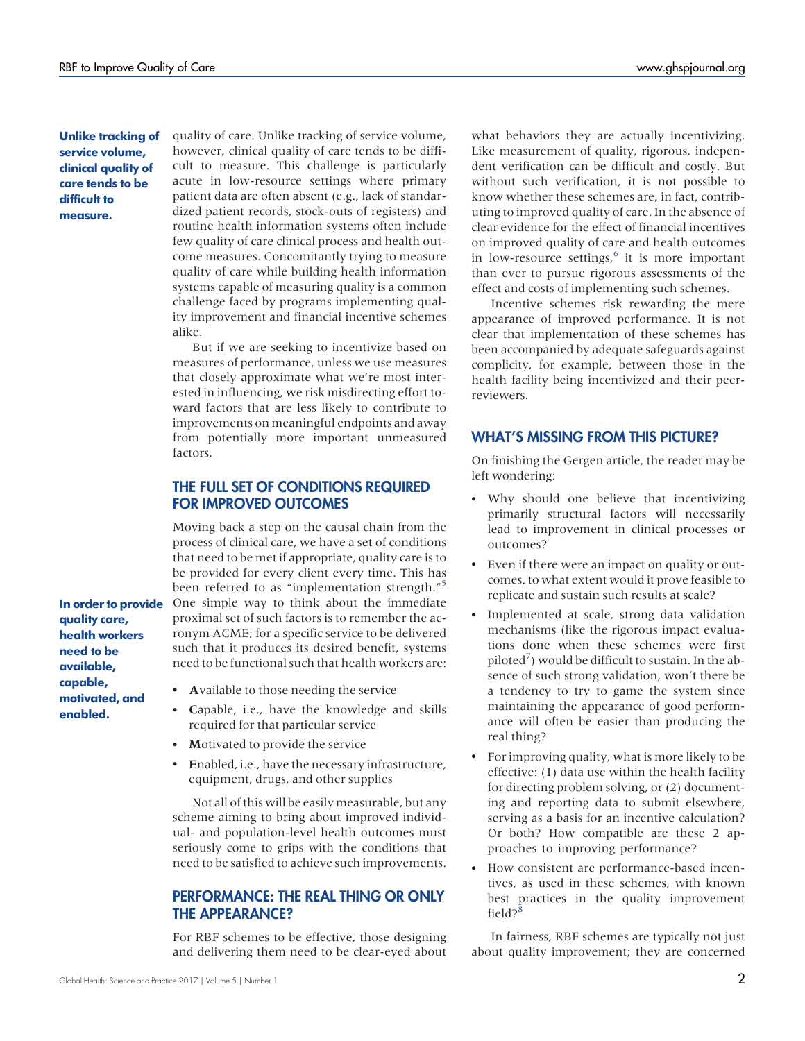Unlike tracking of service volume, clinical quality of care tends to be difficult to measure.

quality of care. Unlike tracking of service volume, however, clinical quality of care tends to be difficult to measure. This challenge is particularly acute in low-resource settings where primary patient data are often absent (e.g., lack of standardized patient records, stock-outs of registers) and routine health information systems often include few quality of care clinical process and health outcome measures. Concomitantly trying to measure quality of care while building health information systems capable of measuring quality is a common challenge faced by programs implementing quality improvement and financial incentive schemes alike.

But if we are seeking to incentivize based on measures of performance, unless we use measures that closely approximate what we're most interested in influencing, we risk misdirecting effort toward factors that are less likely to contribute to improvements on meaningful endpoints and away from potentially more important unmeasured factors.

#### THE FULL SET OF CONDITIONS REQUIRED FOR IMPROVED OUTCOMES

Moving back a step on the causal chain from the process of clinical care, we have a set of conditions that need to be met if appropriate, quality care is to be provided for every client every time. This has been referred to as "implementation strength."<sup>[5](#page-2-4)</sup> One simple way to think about the immediate proximal set of such factors is to remember the acronym ACME; for a specific service to be delivered such that it produces its desired benefit, systems need to be functional such that health workers are:

In order to provide quality care, health workers need to be available, capable, motivated, and enabled.

- Available to those needing the service
- Capable, i.e., have the knowledge and skills required for that particular service
- Motivated to provide the service
- Enabled, i.e., have the necessary infrastructure, equipment, drugs, and other supplies

Not all of this will be easily measurable, but any scheme aiming to bring about improved individual- and population-level health outcomes must seriously come to grips with the conditions that need to be satisfied to achieve such improvements.

#### PERFORMANCE: THE REAL THING OR ONLY THE APPEARANCE?

For RBF schemes to be effective, those designing and delivering them need to be clear-eyed about

what behaviors they are actually incentivizing. Like measurement of quality, rigorous, independent verification can be difficult and costly. But without such verification, it is not possible to know whether these schemes are, in fact, contributing to improved quality of care. In the absence of clear evidence for the effect of financial incentives on improved quality of care and health outcomes in low-resource settings,<sup>[6](#page-2-5)</sup> it is more important than ever to pursue rigorous assessments of the effect and costs of implementing such schemes.

Incentive schemes risk rewarding the mere appearance of improved performance. It is not clear that implementation of these schemes has been accompanied by adequate safeguards against complicity, for example, between those in the health facility being incentivized and their peerreviewers.

#### WHAT'S MISSING FROM THIS PICTURE?

On finishing the Gergen article, the reader may be left wondering:

- Why should one believe that incentivizing primarily structural factors will necessarily lead to improvement in clinical processes or outcomes?
- Even if there were an impact on quality or outcomes, to what extent would it prove feasible to replicate and sustain such results at scale?
- Implemented at scale, strong data validation mechanisms (like the rigorous impact evaluations done when these schemes were first piloted $^7$ ) would be difficult to sustain. In the absence of such strong validation, won't there be a tendency to try to game the system since maintaining the appearance of good performance will often be easier than producing the real thing?
- For improving quality, what is more likely to be effective: (1) data use within the health facility for directing problem solving, or (2) documenting and reporting data to submit elsewhere, serving as a basis for an incentive calculation? Or both? How compatible are these 2 approaches to improving performance?
- How consistent are performance-based incentives, as used in these schemes, with known best practices in the quality improvement field? $8$

In fairness, RBF schemes are typically not just about quality improvement; they are concerned